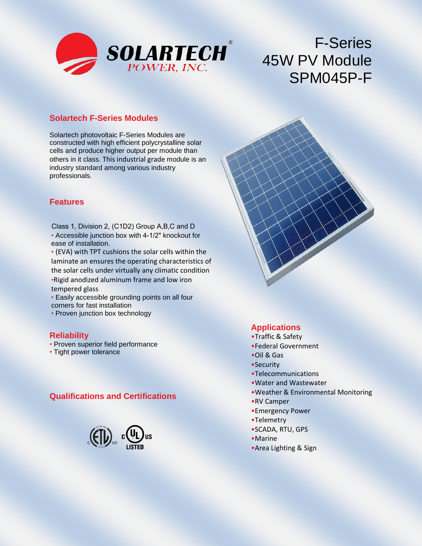

# F-Series 45W PV Module SPM045P-F

#### **Solartech F-Series Modules**

Solartech photovoltaic F-Series Modules are constructed with high efficient polycrystalline solar cells and produce higher output per module than others in it class. This industrial grade module is an industry standard among various industry professionals.

#### **Features**

- Accessible junction box with 4-1/2" knockout for ease of installation. Class 1, Division 2, (C1D2) Group A,B,C and D
- (EVA) with TPT cushions the solar cells within the laminate an ensures the operating characteristics of the solar cells under virtually any climatic condition •Rigid anodized aluminum frame and low iron tempered glass
- Easily accessible grounding points on all four corners for fast installation
- Proven junction box technology

#### **Reliability**

- Proven superior field performance
- Tight power tolerance

## **Qualifications and Certifications**



## **Applications**

- •Traffic & Safety
- •Federal Government
- •Oil & Gas
- •Security
- •Telecommunications
- •Water and Wastewater
- •Weather & Environmental Monitoring
- •RV Camper
- •Emergency Power
- •Telemetry
- •SCADA, RTU, GPS
- •Marine
- •Area Lighting & Sign